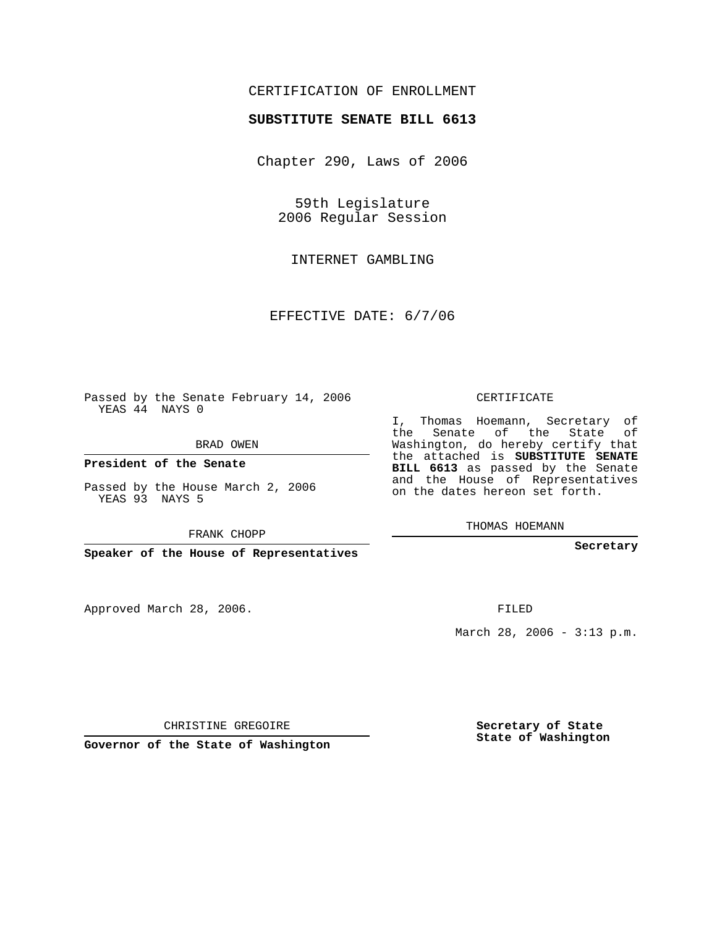## CERTIFICATION OF ENROLLMENT

## **SUBSTITUTE SENATE BILL 6613**

Chapter 290, Laws of 2006

59th Legislature 2006 Regular Session

INTERNET GAMBLING

EFFECTIVE DATE: 6/7/06

Passed by the Senate February 14, 2006 YEAS 44 NAYS 0

BRAD OWEN

**President of the Senate**

Passed by the House March 2, 2006 YEAS 93 NAYS 5

FRANK CHOPP

**Speaker of the House of Representatives**

Approved March 28, 2006.

CERTIFICATE

I, Thomas Hoemann, Secretary of the Senate of the State of Washington, do hereby certify that the attached is **SUBSTITUTE SENATE BILL 6613** as passed by the Senate and the House of Representatives on the dates hereon set forth.

THOMAS HOEMANN

**Secretary**

FILED

March 28, 2006 - 3:13 p.m.

CHRISTINE GREGOIRE

**Governor of the State of Washington**

**Secretary of State State of Washington**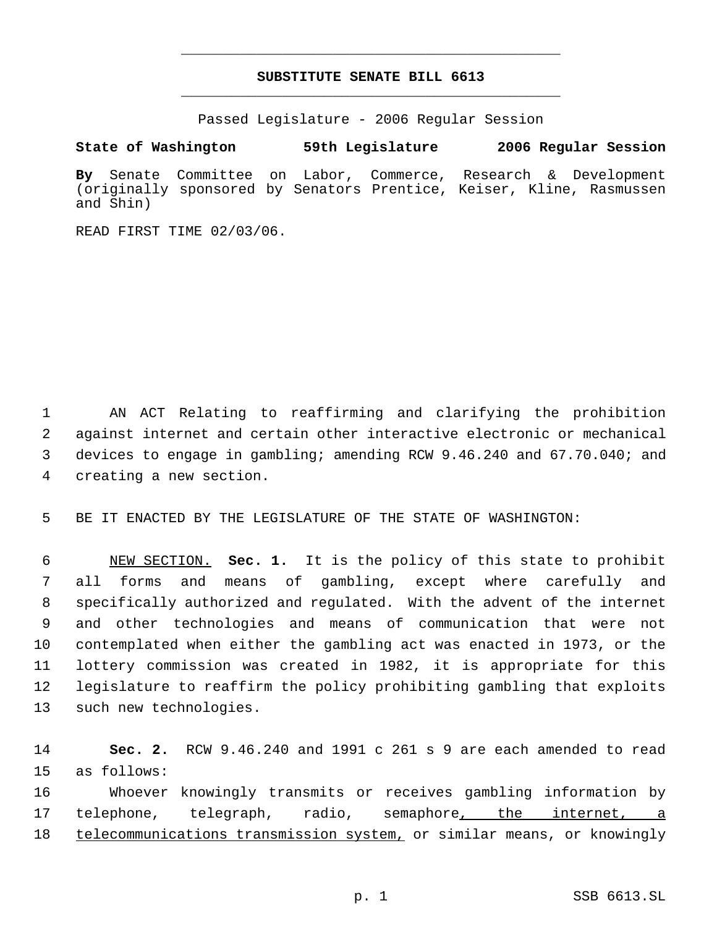## **SUBSTITUTE SENATE BILL 6613** \_\_\_\_\_\_\_\_\_\_\_\_\_\_\_\_\_\_\_\_\_\_\_\_\_\_\_\_\_\_\_\_\_\_\_\_\_\_\_\_\_\_\_\_\_

\_\_\_\_\_\_\_\_\_\_\_\_\_\_\_\_\_\_\_\_\_\_\_\_\_\_\_\_\_\_\_\_\_\_\_\_\_\_\_\_\_\_\_\_\_

Passed Legislature - 2006 Regular Session

**State of Washington 59th Legislature 2006 Regular Session**

**By** Senate Committee on Labor, Commerce, Research & Development (originally sponsored by Senators Prentice, Keiser, Kline, Rasmussen and Shin)

READ FIRST TIME 02/03/06.

 AN ACT Relating to reaffirming and clarifying the prohibition against internet and certain other interactive electronic or mechanical devices to engage in gambling; amending RCW 9.46.240 and 67.70.040; and creating a new section.

BE IT ENACTED BY THE LEGISLATURE OF THE STATE OF WASHINGTON:

 NEW SECTION. **Sec. 1.** It is the policy of this state to prohibit all forms and means of gambling, except where carefully and specifically authorized and regulated. With the advent of the internet and other technologies and means of communication that were not contemplated when either the gambling act was enacted in 1973, or the lottery commission was created in 1982, it is appropriate for this legislature to reaffirm the policy prohibiting gambling that exploits such new technologies.

 **Sec. 2.** RCW 9.46.240 and 1991 c 261 s 9 are each amended to read as follows: Whoever knowingly transmits or receives gambling information by telephone, telegraph, radio, semaphore, the internet, a 18 telecommunications transmission system, or similar means, or knowingly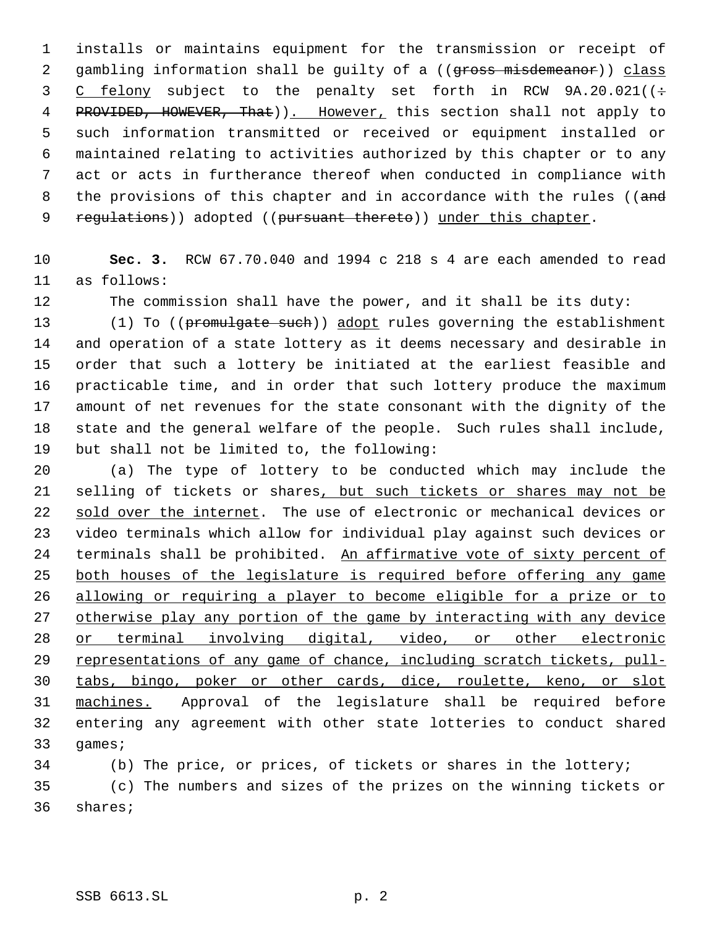installs or maintains equipment for the transmission or receipt of 2 gambling information shall be guilty of a ((gross misdemeanor)) class 3 C felony subject to the penalty set forth in RCW 9A.20.021((÷ 4 PROVIDED, HOWEVER, That)). However, this section shall not apply to such information transmitted or received or equipment installed or maintained relating to activities authorized by this chapter or to any act or acts in furtherance thereof when conducted in compliance with 8 the provisions of this chapter and in accordance with the rules ((and 9 regulations)) adopted ((pursuant thereto)) under this chapter.

 **Sec. 3.** RCW 67.70.040 and 1994 c 218 s 4 are each amended to read as follows:

The commission shall have the power, and it shall be its duty:

13 (1) To ((promulgate such)) adopt rules governing the establishment and operation of a state lottery as it deems necessary and desirable in order that such a lottery be initiated at the earliest feasible and practicable time, and in order that such lottery produce the maximum amount of net revenues for the state consonant with the dignity of the state and the general welfare of the people. Such rules shall include, but shall not be limited to, the following:

 (a) The type of lottery to be conducted which may include the 21 selling of tickets or shares, but such tickets or shares may not be sold over the internet. The use of electronic or mechanical devices or video terminals which allow for individual play against such devices or terminals shall be prohibited. An affirmative vote of sixty percent of 25 both houses of the legislature is required before offering any game allowing or requiring a player to become eligible for a prize or to 27 otherwise play any portion of the game by interacting with any device or terminal involving digital, video, or other electronic 29 representations of any game of chance, including scratch tickets, pull- tabs, bingo, poker or other cards, dice, roulette, keno, or slot machines. Approval of the legislature shall be required before entering any agreement with other state lotteries to conduct shared games;

 (b) The price, or prices, of tickets or shares in the lottery; (c) The numbers and sizes of the prizes on the winning tickets or shares;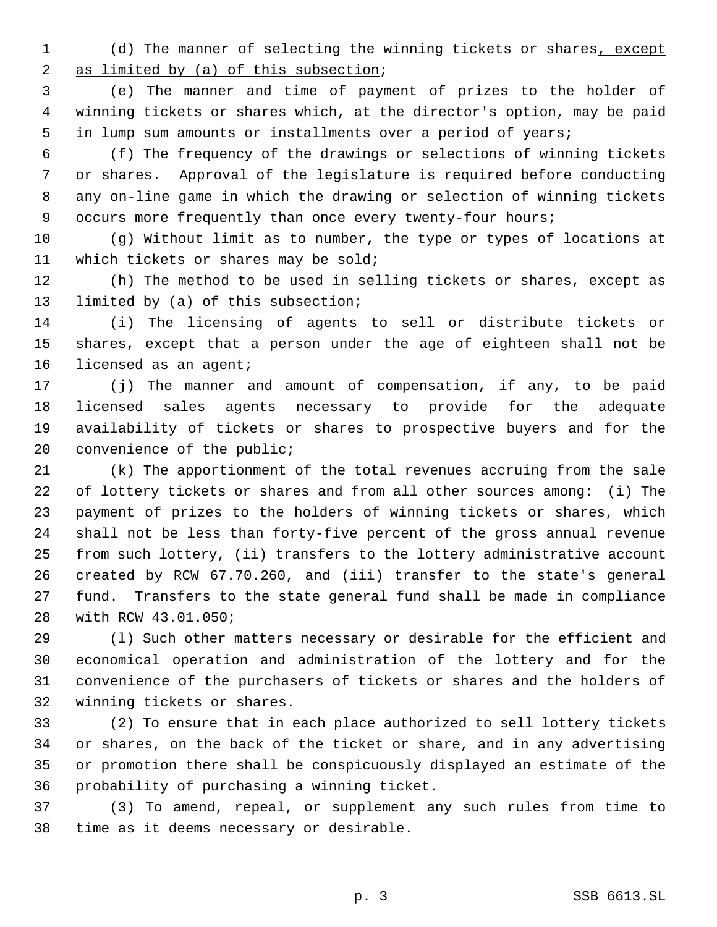1 (d) The manner of selecting the winning tickets or shares, except 2 as limited by (a) of this subsection;

 (e) The manner and time of payment of prizes to the holder of winning tickets or shares which, at the director's option, may be paid in lump sum amounts or installments over a period of years;

 (f) The frequency of the drawings or selections of winning tickets or shares. Approval of the legislature is required before conducting any on-line game in which the drawing or selection of winning tickets 9 occurs more frequently than once every twenty-four hours;

 (g) Without limit as to number, the type or types of locations at which tickets or shares may be sold;

12 (h) The method to be used in selling tickets or shares, except as 13 limited by (a) of this subsection;

 (i) The licensing of agents to sell or distribute tickets or shares, except that a person under the age of eighteen shall not be 16 licensed as an agent;

 (j) The manner and amount of compensation, if any, to be paid licensed sales agents necessary to provide for the adequate availability of tickets or shares to prospective buyers and for the 20 convenience of the public;

 (k) The apportionment of the total revenues accruing from the sale of lottery tickets or shares and from all other sources among: (i) The payment of prizes to the holders of winning tickets or shares, which shall not be less than forty-five percent of the gross annual revenue from such lottery, (ii) transfers to the lottery administrative account created by RCW 67.70.260, and (iii) transfer to the state's general fund. Transfers to the state general fund shall be made in compliance with RCW 43.01.050;

 (l) Such other matters necessary or desirable for the efficient and economical operation and administration of the lottery and for the convenience of the purchasers of tickets or shares and the holders of winning tickets or shares.

 (2) To ensure that in each place authorized to sell lottery tickets or shares, on the back of the ticket or share, and in any advertising or promotion there shall be conspicuously displayed an estimate of the probability of purchasing a winning ticket.

 (3) To amend, repeal, or supplement any such rules from time to time as it deems necessary or desirable.